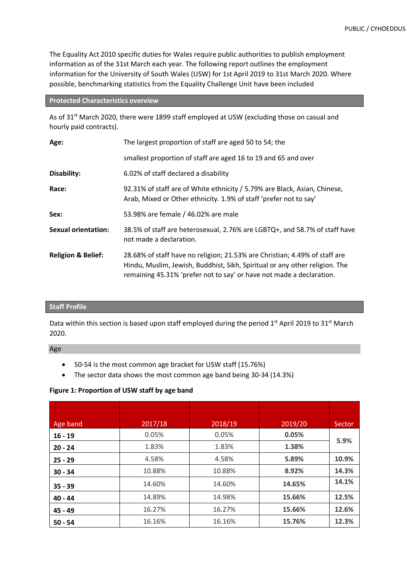The Equality Act 2010 specific duties for Wales require public authorities to publish employment information as of the 31st March each year. The following report outlines the employment information for the University of South Wales (USW) for 1st April 2019 to 31st March 2020. Where possible, benchmarking statistics from the Equality Challenge Unit have been included

### **Protected Characteristics overview**

As of 31<sup>st</sup> March 2020, there were 1899 staff employed at USW (excluding those on casual and hourly paid contracts).

| Age:                          | The largest proportion of staff are aged 50 to 54; the                                                                                                                                                                            |
|-------------------------------|-----------------------------------------------------------------------------------------------------------------------------------------------------------------------------------------------------------------------------------|
|                               | smallest proportion of staff are aged 16 to 19 and 65 and over                                                                                                                                                                    |
| Disability:                   | 6.02% of staff declared a disability                                                                                                                                                                                              |
| Race:                         | 92.31% of staff are of White ethnicity / 5.79% are Black, Asian, Chinese,<br>Arab, Mixed or Other ethnicity. 1.9% of staff 'prefer not to say'                                                                                    |
| Sex:                          | 53.98% are female / 46.02% are male                                                                                                                                                                                               |
| <b>Sexual orientation:</b>    | 38.5% of staff are heterosexual, 2.76% are LGBTQ+, and 58.7% of staff have<br>not made a declaration.                                                                                                                             |
| <b>Religion &amp; Belief:</b> | 28.68% of staff have no religion; 21.53% are Christian; 4.49% of staff are<br>Hindu, Muslim, Jewish, Buddhist, Sikh, Spiritual or any other religion. The<br>remaining 45.31% 'prefer not to say' or have not made a declaration. |

#### **Staff Profile**

Data within this section is based upon staff employed during the period  $1<sup>st</sup>$  April 2019 to 31<sup>st</sup> March 2020.

Age

- 50-54 is the most common age bracket for USW staff (15.76%)
- The sector data shows the most common age band being 30-34 (14.3%)

# **Figure 1: Proportion of USW staff by age band**

| Age band  | 2017/18 | 2018/19 | 2019/20 | Sector |
|-----------|---------|---------|---------|--------|
| $16 - 19$ | 0.05%   | 0.05%   | 0.05%   |        |
| $20 - 24$ | 1.83%   | 1.83%   | 1.38%   | 5.9%   |
| $25 - 29$ | 4.58%   | 4.58%   | 5.89%   | 10.9%  |
| $30 - 34$ | 10.88%  | 10.88%  | 8.92%   | 14.3%  |
| $35 - 39$ | 14.60%  | 14.60%  | 14.65%  | 14.1%  |
| $40 - 44$ | 14.89%  | 14.98%  | 15.66%  | 12.5%  |
| $45 - 49$ | 16.27%  | 16.27%  | 15.66%  | 12.6%  |
| $50 - 54$ | 16.16%  | 16.16%  | 15.76%  | 12.3%  |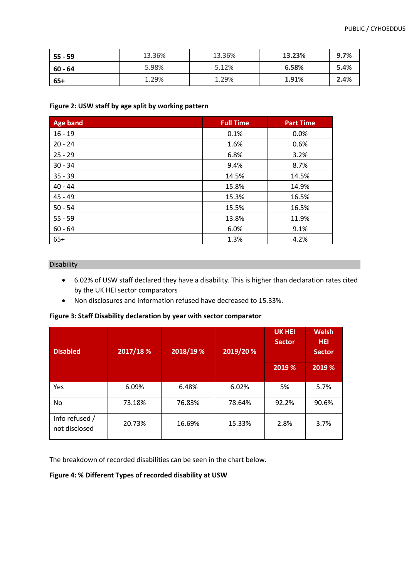| $55 - 59$ | 13.36% | 13.36% | 13.23% | 9.7% |
|-----------|--------|--------|--------|------|
| 60 - 64   | 5.98%  | 5.12%  | 6.58%  | 5.4% |
| 65+       | 1.29%  | 1.29%  | 1.91%  | 2.4% |

### **Figure 2: USW staff by age split by working pattern**

| Age band  | <b>Full Time</b> | <b>Part Time</b> |
|-----------|------------------|------------------|
| $16 - 19$ | 0.1%             | 0.0%             |
| $20 - 24$ | 1.6%             | 0.6%             |
| $25 - 29$ | 6.8%             | 3.2%             |
| $30 - 34$ | 9.4%             | 8.7%             |
| $35 - 39$ | 14.5%            | 14.5%            |
| $40 - 44$ | 15.8%            | 14.9%            |
| $45 - 49$ | 15.3%            | 16.5%            |
| $50 - 54$ | 15.5%            | 16.5%            |
| $55 - 59$ | 13.8%            | 11.9%            |
| $60 - 64$ | 6.0%             | 9.1%             |
| $65+$     | 1.3%             | 4.2%             |

# Disability

- 6.02% of USW staff declared they have a disability. This is higher than declaration rates cited by the UK HEI sector comparators
- Non disclosures and information refused have decreased to 15.33%.

**Figure 3: Staff Disability declaration by year with sector comparator**

| <b>Disabled</b>                 | 2017/18% | 2018/19 % | 2019/20 % | <b>UK HEI</b><br><b>Sector</b> | <b>Welsh</b><br><b>HEI</b><br><b>Sector</b> |
|---------------------------------|----------|-----------|-----------|--------------------------------|---------------------------------------------|
|                                 |          |           |           | 2019 %                         | 2019 %                                      |
| Yes                             | 6.09%    | 6.48%     | 6.02%     | 5%                             | 5.7%                                        |
| No                              | 73.18%   | 76.83%    | 78.64%    | 92.2%                          | 90.6%                                       |
| Info refused /<br>not disclosed | 20.73%   | 16.69%    | 15.33%    | 2.8%                           | 3.7%                                        |

The breakdown of recorded disabilities can be seen in the chart below.

# **Figure 4: % Different Types of recorded disability at USW**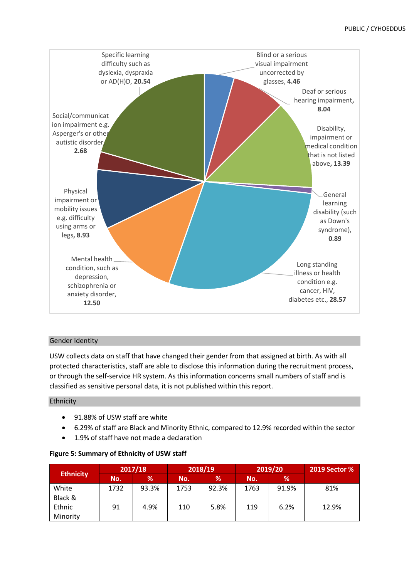

# Gender Identity

USW collects data on staff that have changed their gender from that assigned at birth. As with all protected characteristics, staff are able to disclose this information during the recruitment process, or through the self-service HR system. As this information concerns small numbers of staff and is classified as sensitive personal data, it is not published within this report.

# Ethnicity

- 91.88% of USW staff are white
- 6.29% of staff are Black and Minority Ethnic, compared to 12.9% recorded within the sector
- 1.9% of staff have not made a declaration

# **Figure 5: Summary of Ethnicity of USW staff**

| <b>Ethnicity</b> |      | 2018/19<br>2017/18 |      | 2019/20 |      | <b>2019 Sector %</b> |       |
|------------------|------|--------------------|------|---------|------|----------------------|-------|
|                  | No.  | $\%$               | No.  | ℅       | No.  | %                    |       |
| White            | 1732 | 93.3%              | 1753 | 92.3%   | 1763 | 91.9%                | 81%   |
| Black &          |      |                    |      |         |      |                      |       |
| Ethnic           | 91   | 4.9%               | 110  | 5.8%    | 119  | 6.2%                 | 12.9% |
| Minority         |      |                    |      |         |      |                      |       |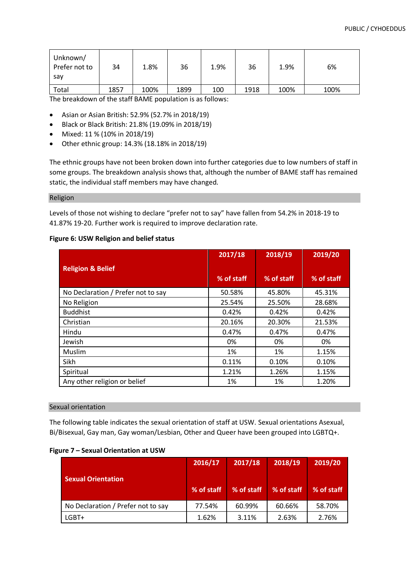| Unknown/<br>Prefer not to<br>sav | 34   | 1.8% | 36   | 1.9% | 36   | 1.9% | 6%   |
|----------------------------------|------|------|------|------|------|------|------|
| Total                            | 1857 | 100% | 1899 | 100  | 1918 | 100% | 100% |

The breakdown of the staff BAME population is as follows:

- Asian or Asian British: 52.9% (52.7% in 2018/19)
- Black or Black British: 21.8% (19.09% in 2018/19)
- Mixed: 11 % (10% in 2018/19)
- Other ethnic group: 14.3% (18.18% in 2018/19)

The ethnic groups have not been broken down into further categories due to low numbers of staff in some groups. The breakdown analysis shows that, although the number of BAME staff has remained static, the individual staff members may have changed.

#### Religion

Levels of those not wishing to declare "prefer not to say" have fallen from 54.2% in 2018-19 to 41.87% 19-20. Further work is required to improve declaration rate.

|                                    | 2017/18    | 2018/19    | 2019/20    |
|------------------------------------|------------|------------|------------|
| <b>Religion &amp; Belief</b>       | % of staff | % of staff | % of staff |
| No Declaration / Prefer not to say | 50.58%     | 45.80%     | 45.31%     |
| No Religion                        | 25.54%     | 25.50%     | 28.68%     |
| <b>Buddhist</b>                    | 0.42%      | 0.42%      | 0.42%      |
| Christian                          | 20.16%     | 20.30%     | 21.53%     |
| Hindu                              | 0.47%      | 0.47%      | 0.47%      |
| Jewish                             | 0%         | 0%         | 0%         |
| Muslim                             | 1%         | 1%         | 1.15%      |
| Sikh                               | 0.11%      | 0.10%      | 0.10%      |
| Spiritual                          | 1.21%      | 1.26%      | 1.15%      |
| Any other religion or belief       | 1%         | 1%         | 1.20%      |

#### **Figure 6: USW Religion and belief status**

#### Sexual orientation

The following table indicates the sexual orientation of staff at USW. Sexual orientations Asexual, Bi/Bisexual, Gay man, Gay woman/Lesbian, Other and Queer have been grouped into LGBTQ+.

#### **Figure 7 – Sexual Orientation at USW**

|                                    | 2016/17    | 2017/18    | 2018/19    | 2019/20    |
|------------------------------------|------------|------------|------------|------------|
| <b>Sexual Orientation</b>          | % of staff | % of staff | % of staff | % of staff |
| No Declaration / Prefer not to say | 77.54%     | 60.99%     | 60.66%     | 58.70%     |
| $LGBT+$                            | 1.62%      | 3.11%      | 2.63%      | 2.76%      |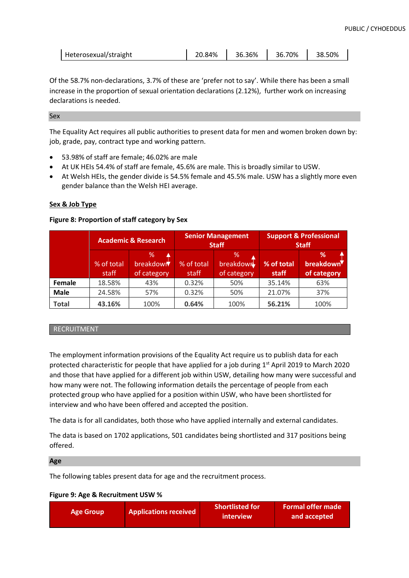| Heterosexual/straight | 20.84% | 36.36% | 36.70% | 38.50% |
|-----------------------|--------|--------|--------|--------|
|-----------------------|--------|--------|--------|--------|

Of the 58.7% non-declarations, 3.7% of these are 'prefer not to say'. While there has been a small increase in the proportion of sexual orientation declarations (2.12%), further work on increasing declarations is needed.

#### Sex

The Equality Act requires all public authorities to present data for men and women broken down by: job, grade, pay, contract type and working pattern.

- 53.98% of staff are female; 46.02% are male
- At UK HEIs 54.4% of staff are female, 45.6% are male. This is broadly similar to USW.
- At Welsh HEIs, the gender divide is 54.5% female and 45.5% male. USW has a slightly more even gender balance than the Welsh HEI average.

# **Sex & Job Type**

# **Figure 8: Proportion of staff category by Sex**

|              | <b>Academic &amp; Research</b> |                               |                     | <b>Senior Management</b><br><b>Staff</b> | <b>Support &amp; Professional</b><br><b>Staff</b> |                                            |
|--------------|--------------------------------|-------------------------------|---------------------|------------------------------------------|---------------------------------------------------|--------------------------------------------|
|              | % of total<br>staff            | %<br>breakdowr<br>of category | % of total<br>staff | %<br>breakdowr<br>of category            | % of total<br>staff                               | ℅<br>breakdown <sup>V</sup><br>of category |
| Female       | 18.58%                         | 43%                           | 0.32%               | 50%                                      | 35.14%                                            | 63%                                        |
| <b>Male</b>  | 24.58%                         | 57%                           | 0.32%               | 50%                                      | 21.07%                                            | 37%                                        |
| <b>Total</b> | 43.16%                         | 100%                          | 0.64%               | 100%                                     | 56.21%                                            | 100%                                       |

# RECRUITMENT

The employment information provisions of the Equality Act require us to publish data for each protected characteristic for people that have applied for a job during 1<sup>st</sup> April 2019 to March 2020 and those that have applied for a different job within USW, detailing how many were successful and how many were not. The following information details the percentage of people from each protected group who have applied for a position within USW, who have been shortlisted for interview and who have been offered and accepted the position.

The data is for all candidates, both those who have applied internally and external candidates.

The data is based on 1702 applications, 501 candidates being shortlisted and 317 positions being offered.

#### **Age**

The following tables present data for age and the recruitment process.

# **Figure 9: Age & Recruitment USW %**

| <b>Applications received</b> | <b>Shortlisted for</b> | <b>Formal offer made</b> |
|------------------------------|------------------------|--------------------------|
| <b>Age Group</b>             | interview              | and accepted             |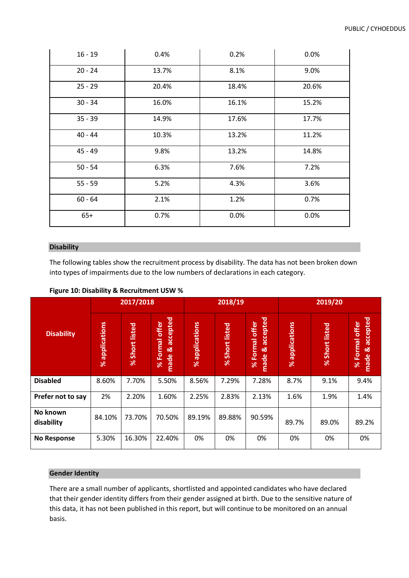| $16 - 19$ | 0.4%  | 0.2%  | 0.0%  |
|-----------|-------|-------|-------|
| $20 - 24$ | 13.7% | 8.1%  | 9.0%  |
| $25 - 29$ | 20.4% | 18.4% | 20.6% |
| $30 - 34$ | 16.0% | 16.1% | 15.2% |
| $35 - 39$ | 14.9% | 17.6% | 17.7% |
| $40 - 44$ | 10.3% | 13.2% | 11.2% |
| $45 - 49$ | 9.8%  | 13.2% | 14.8% |
| $50 - 54$ | 6.3%  | 7.6%  | 7.2%  |
| $55 - 59$ | 5.2%  | 4.3%  | 3.6%  |
| $60 - 64$ | 2.1%  | 1.2%  | 0.7%  |
| $65+$     | 0.7%  | 0.0%  | 0.0%  |

# **Disability**

The following tables show the recruitment process by disability. The data has not been broken down into types of impairments due to the low numbers of declarations in each category.

|                        |                          | 2017/2018      |                                                      |                               | 2018/19        |                                                                     |                          | 2019/20           |                                                        |  |
|------------------------|--------------------------|----------------|------------------------------------------------------|-------------------------------|----------------|---------------------------------------------------------------------|--------------------------|-------------------|--------------------------------------------------------|--|
| <b>Disability</b>      | applications<br>$\aleph$ | % Short listed | accepted<br>offer<br><b>Formal</b><br>ಡ<br>made<br>ৼ | applications<br>$\frac{8}{3}$ | % Short listed | accepted<br>offer<br><b>Formal</b><br>୦ <mark>୪</mark><br>made<br>৯ | applications<br>$\aleph$ | listed<br>% Short | accepted<br>Formal offer<br>ಡ<br>made<br>$\frac{8}{3}$ |  |
| <b>Disabled</b>        | 8.60%                    | 7.70%          | 5.50%                                                | 8.56%                         | 7.29%          | 7.28%                                                               | 8.7%                     | 9.1%              | 9.4%                                                   |  |
| Prefer not to say      | 2%                       | 2.20%          | 1.60%                                                | 2.25%                         | 2.83%          | 2.13%                                                               | 1.6%                     | 1.9%              | 1.4%                                                   |  |
| No known<br>disability | 84.10%                   | 73.70%         | 70.50%                                               | 89.19%                        | 89.88%         | 90.59%                                                              | 89.7%                    | 89.0%             | 89.2%                                                  |  |
| <b>No Response</b>     | 5.30%                    | 16.30%         | 22.40%                                               | 0%                            | 0%             | 0%                                                                  | 0%                       | 0%                | 0%                                                     |  |

**Figure 10: Disability & Recruitment USW %**

### **Gender Identity**

There are a small number of applicants, shortlisted and appointed candidates who have declared that their gender identity differs from their gender assigned at birth. Due to the sensitive nature of this data, it has not been published in this report, but will continue to be monitored on an annual basis.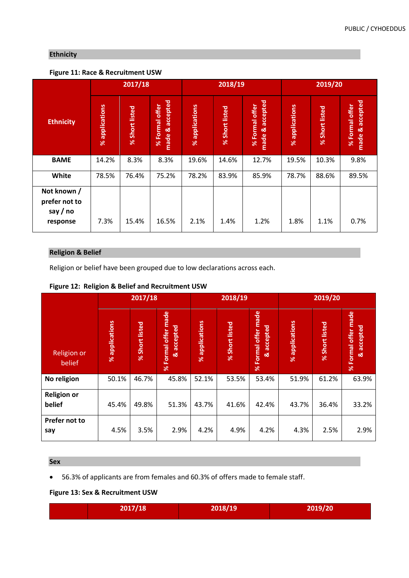# **Ethnicity**

# **Figure 11: Race & Recruitment USW**

|                                                      | 2017/18                  |                          |                                      |                          | 2018/19                  |                                      | 2019/20                  |                          |                                      |
|------------------------------------------------------|--------------------------|--------------------------|--------------------------------------|--------------------------|--------------------------|--------------------------------------|--------------------------|--------------------------|--------------------------------------|
| <b>Ethnicity</b>                                     | applications<br>$\aleph$ | Short listed<br>$\aleph$ | accepted<br>% Formal offer<br>made & | applications<br>$\aleph$ | Short listed<br>$\aleph$ | accepted<br>% Formal offer<br>made & | applications<br>$\aleph$ | Short listed<br>$\aleph$ | accepted<br>% Formal offer<br>made & |
| <b>BAME</b>                                          | 14.2%                    | 8.3%                     | 8.3%                                 | 19.6%                    | 14.6%                    | 12.7%                                | 19.5%                    | 10.3%                    | 9.8%                                 |
| White                                                | 78.5%                    | 76.4%                    | 75.2%                                | 78.2%                    | 83.9%                    | 85.9%                                | 78.7%                    | 88.6%                    | 89.5%                                |
| Not known /<br>prefer not to<br>say / no<br>response | 7.3%                     | 15.4%                    | 16.5%                                | 2.1%                     | 1.4%                     | 1.2%                                 | 1.8%                     | 1.1%                     | 0.7%                                 |

# **Religion & Belief**

Religion or belief have been grouped due to low declarations across each.

|  | Figure 12: Religion & Belief and Recruitment USW |
|--|--------------------------------------------------|
|--|--------------------------------------------------|

|                              |                | 2017/18                  |                                                |                | 2018/19        |                                                | 2019/20        |                          |                                             |
|------------------------------|----------------|--------------------------|------------------------------------------------|----------------|----------------|------------------------------------------------|----------------|--------------------------|---------------------------------------------|
| <b>Religion or</b><br>belief | % applications | Short listed<br>$\aleph$ | made<br>& accepted<br>Formal offer<br>$\aleph$ | % applications | % Short listed | Formal offer made<br>accepted<br>ಷ<br>$\aleph$ | % applications | Short listed<br>$\aleph$ | Formal offer made<br>& accepted<br>$\aleph$ |
| No religion                  | 50.1%          | 46.7%                    | 45.8%                                          | 52.1%          | 53.5%          | 53.4%                                          | 51.9%          | 61.2%                    | 63.9%                                       |
| <b>Religion or</b><br>belief | 45.4%          | 49.8%                    | 51.3%                                          | 43.7%          | 41.6%          | 42.4%                                          | 43.7%          | 36.4%                    | 33.2%                                       |
| Prefer not to<br>say         | 4.5%           | 3.5%                     | 2.9%                                           | 4.2%           | 4.9%           | 4.2%                                           | 4.3%           | 2.5%                     | 2.9%                                        |

# **Sex**

• 56.3% of applicants are from females and 60.3% of offers made to female staff.

**Figure 13: Sex & Recruitment USW**

| 2017/18 | 2018/19 | 2019/20 |
|---------|---------|---------|
|         |         |         |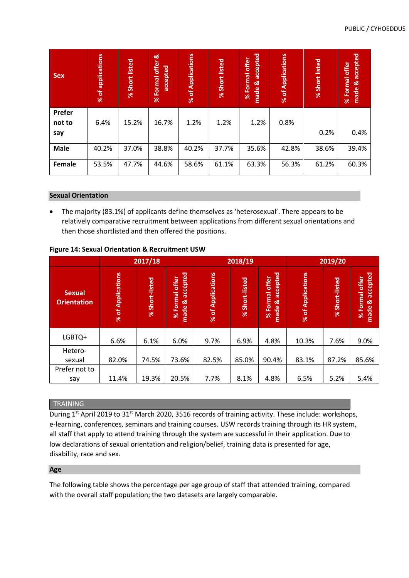| <b>Sex</b>              | % of applications | listed<br><b>Short</b><br>$\aleph$ | ಹ<br>offer<br>accepted<br>Formal<br>$\aleph$ | of Applications<br>$\aleph$ | % Short listed | accepted<br>Formal offer<br>œ<br>made<br>$\aleph$ | % of Applications | % Short listed | accepted<br>% Formal offer<br>made & |
|-------------------------|-------------------|------------------------------------|----------------------------------------------|-----------------------------|----------------|---------------------------------------------------|-------------------|----------------|--------------------------------------|
| Prefer<br>not to<br>say | 6.4%              | 15.2%                              | 16.7%                                        | 1.2%                        | 1.2%           | 1.2%                                              | 0.8%              | 0.2%           | 0.4%                                 |
| <b>Male</b>             | 40.2%             | 37.0%                              | 38.8%                                        | 40.2%                       | 37.7%          | 35.6%                                             | 42.8%             | 38.6%          | 39.4%                                |
| Female                  | 53.5%             | 47.7%                              | 44.6%                                        | 58.6%                       | 61.1%          | 63.3%                                             | 56.3%             | 61.2%          | 60.3%                                |

#### **Sexual Orientation**

• The majority (83.1%) of applicants define themselves as 'heterosexual'. There appears to be relatively comparative recruitment between applications from different sexual orientations and then those shortlisted and then offered the positions.

|                                     | 2017/18           |                          |                                                   |                             | 2018/19        |                                                   | 2019/20           |                          |                                                   |
|-------------------------------------|-------------------|--------------------------|---------------------------------------------------|-----------------------------|----------------|---------------------------------------------------|-------------------|--------------------------|---------------------------------------------------|
| <b>Sexual</b><br><b>Orientation</b> | % of Applications | Short-listed<br>$\aleph$ | accepted<br>Formal offer<br>ಡ<br>made<br>$\aleph$ | of Applications<br>$\aleph$ | % Short-listed | accepted<br>Formal offer<br>ಡ<br>made<br>$\aleph$ | % of Applications | Short-listed<br>$\aleph$ | accepted<br>Formal offer<br>œ<br>made<br>$\aleph$ |
| LGBTQ+                              | 6.6%              | 6.1%                     | 6.0%                                              | 9.7%                        | 6.9%           | 4.8%                                              | 10.3%             | 7.6%                     | 9.0%                                              |
| Hetero-                             |                   |                          |                                                   |                             |                |                                                   |                   |                          |                                                   |
| sexual                              | 82.0%             | 74.5%                    | 73.6%                                             | 82.5%                       | 85.0%          | 90.4%                                             | 83.1%             | 87.2%                    | 85.6%                                             |
| Prefer not to                       |                   |                          |                                                   |                             |                |                                                   |                   |                          |                                                   |
| say                                 | 11.4%             | 19.3%                    | 20.5%                                             | 7.7%                        | 8.1%           | 4.8%                                              | 6.5%              | 5.2%                     | 5.4%                                              |

# **Figure 14: Sexual Orientation & Recruitment USW**

# **TRAINING**

During 1<sup>st</sup> April 2019 to 31<sup>st</sup> March 2020, 3516 records of training activity. These include: workshops, e-learning, conferences, seminars and training courses. USW records training through its HR system, all staff that apply to attend training through the system are successful in their application. Due to low declarations of sexual orientation and religion/belief, training data is presented for age, disability, race and sex.

# **Age**

The following table shows the percentage per age group of staff that attended training, compared with the overall staff population; the two datasets are largely comparable.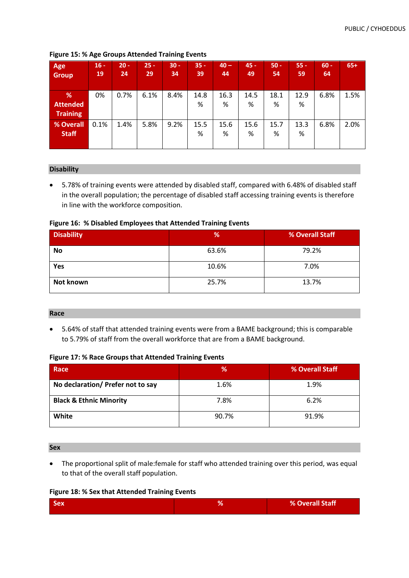| Age<br><b>Group</b>                     | $16 -$<br>19 | $20 -$<br>24 | $25 -$<br>29 | $30 -$<br>34 | $35 -$<br>39 | $40 -$<br>44 | $45 -$<br>49 | $50 -$<br>54 | $55 -$<br>59 | $60 -$<br>64 | $65+$ |
|-----------------------------------------|--------------|--------------|--------------|--------------|--------------|--------------|--------------|--------------|--------------|--------------|-------|
| %<br><b>Attended</b><br><b>Training</b> | 0%           | 0.7%         | 6.1%         | 8.4%         | 14.8<br>%    | 16.3<br>%    | 14.5<br>%    | 18.1<br>%    | 12.9<br>%    | 6.8%         | 1.5%  |
| <b>% Overall</b><br><b>Staff</b>        | 0.1%         | 1.4%         | 5.8%         | 9.2%         | 15.5<br>%    | 15.6<br>%    | 15.6<br>%    | 15.7<br>%    | 13.3<br>%    | 6.8%         | 2.0%  |

**Figure 15: % Age Groups Attended Training Events**

# **Disability**

• 5.78% of training events were attended by disabled staff, compared with 6.48% of disabled staff in the overall population; the percentage of disabled staff accessing training events is therefore in line with the workforce composition.

# **Figure 16: % Disabled Employees that Attended Training Events**

| <b>Disability</b> | %     | % Overall Staff |
|-------------------|-------|-----------------|
| <b>No</b>         | 63.6% | 79.2%           |
| Yes               | 10.6% | 7.0%            |
| Not known         | 25.7% | 13.7%           |

#### **Race**

• 5.64% of staff that attended training events were from a BAME background; this is comparable to 5.79% of staff from the overall workforce that are from a BAME background.

#### **Figure 17: % Race Groups that Attended Training Events**

| Race                               | %     | % Overall Staff |
|------------------------------------|-------|-----------------|
| No declaration/ Prefer not to say  | 1.6%  | 1.9%            |
| <b>Black &amp; Ethnic Minority</b> | 7.8%  | 6.2%            |
| White                              | 90.7% | 91.9%           |

# **Sex**

• The proportional split of male:female for staff who attended training over this period, was equal to that of the overall staff population.

# **Figure 18: % Sex that Attended Training Events**

| <b>Sex</b> | o | % Overall Staff |
|------------|---|-----------------|
|            |   |                 |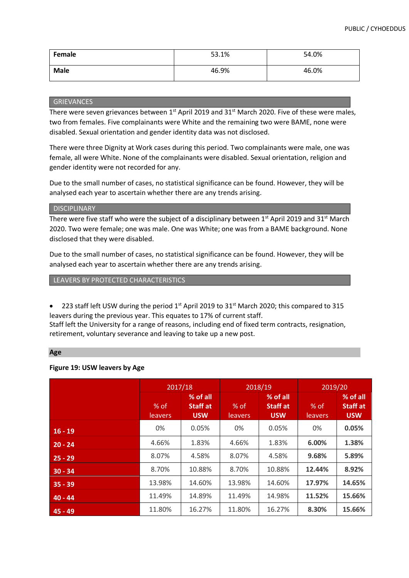| Female      | 53.1% | 54.0% |
|-------------|-------|-------|
| <b>Male</b> | 46.9% | 46.0% |

#### GRIEVANCES

There were seven grievances between 1<sup>st</sup> April 2019 and 31<sup>st</sup> March 2020. Five of these were males, two from females. Five complainants were White and the remaining two were BAME, none were disabled. Sexual orientation and gender identity data was not disclosed.

There were three Dignity at Work cases during this period. Two complainants were male, one was female, all were White. None of the complainants were disabled. Sexual orientation, religion and gender identity were not recorded for any.

Due to the small number of cases, no statistical significance can be found. However, they will be analysed each year to ascertain whether there are any trends arising.

#### **DISCIPLINARY**

There were five staff who were the subject of a disciplinary between  $1<sup>st</sup>$  April 2019 and 31<sup>st</sup> March 2020. Two were female; one was male. One was White; one was from a BAME background. None disclosed that they were disabled.

Due to the small number of cases, no statistical significance can be found. However, they will be analysed each year to ascertain whether there are any trends arising.

LEAVERS BY PROTECTED CHARACTERISTICS

223 staff left USW during the period  $1<sup>st</sup>$  April 2019 to 31<sup>st</sup> March 2020; this compared to 315 leavers during the previous year. This equates to 17% of current staff. Staff left the University for a range of reasons, including end of fixed term contracts, resignation,

retirement, voluntary severance and leaving to take up a new post.

#### **Age**

# **Figure 19: USW leavers by Age**

|           | 2017/18           |                                           | 2018/19           |                                           | 2019/20           |                                           |
|-----------|-------------------|-------------------------------------------|-------------------|-------------------------------------------|-------------------|-------------------------------------------|
|           | $%$ of<br>leavers | % of all<br><b>Staff at</b><br><b>USW</b> | $%$ of<br>leavers | % of all<br><b>Staff at</b><br><b>USW</b> | $%$ of<br>leavers | % of all<br><b>Staff at</b><br><b>USW</b> |
| $16 - 19$ | 0%                | 0.05%                                     | 0%                | 0.05%                                     | 0%                | 0.05%                                     |
| $20 - 24$ | 4.66%             | 1.83%                                     | 4.66%             | 1.83%                                     | 6.00%             | 1.38%                                     |
| $25 - 29$ | 8.07%             | 4.58%                                     | 8.07%             | 4.58%                                     | 9.68%             | 5.89%                                     |
| $30 - 34$ | 8.70%             | 10.88%                                    | 8.70%             | 10.88%                                    | 12.44%            | 8.92%                                     |
| $35 - 39$ | 13.98%            | 14.60%                                    | 13.98%            | 14.60%                                    | 17.97%            | 14.65%                                    |
| $40 - 44$ | 11.49%            | 14.89%                                    | 11.49%            | 14.98%                                    | 11.52%            | 15.66%                                    |
| $45 - 49$ | 11.80%            | 16.27%                                    | 11.80%            | 16.27%                                    | 8.30%             | 15.66%                                    |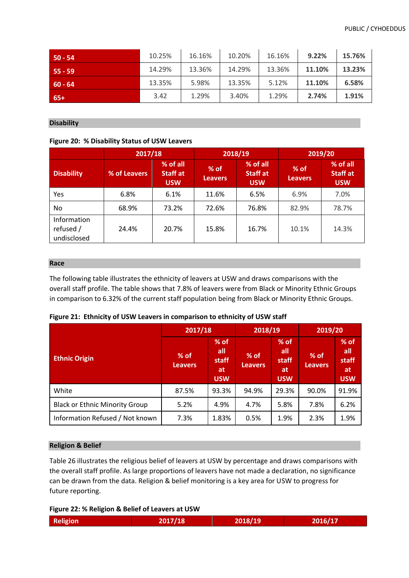| $50 - 54$ | 10.25% | 16.16% | 10.20% | 16.16% | 9.22%  | 15.76% |
|-----------|--------|--------|--------|--------|--------|--------|
| $55 - 59$ | 14.29% | 13.36% | 14.29% | 13.36% | 11.10% | 13.23% |
| $60 - 64$ | 13.35% | 5.98%  | 13.35% | 5.12%  | 11.10% | 6.58%  |
| $65+$     | 3.42   | 1.29%  | 3.40%  | 1.29%  | 2.74%  | 1.91%  |

### **Disability**

# **Figure 20: % Disability Status of USW Leavers**

|                                         | 2017/18      |                                           | 2018/19                                                        |       | 2019/20                  |                                           |  |
|-----------------------------------------|--------------|-------------------------------------------|----------------------------------------------------------------|-------|--------------------------|-------------------------------------------|--|
| <b>Disability</b>                       | % of Leavers | % of all<br><b>Staff at</b><br><b>USW</b> | % of all<br>$%$ of<br>Staff at<br><b>Leavers</b><br><b>USW</b> |       | $%$ of<br><b>Leavers</b> | % of all<br><b>Staff at</b><br><b>USW</b> |  |
| Yes                                     | 6.8%         | 6.1%                                      | 11.6%                                                          | 6.5%  | 6.9%                     | 7.0%                                      |  |
| No                                      | 68.9%        | 73.2%                                     | 72.6%                                                          | 76.8% | 82.9%                    | 78.7%                                     |  |
| Information<br>refused /<br>undisclosed | 24.4%        | 20.7%                                     | 15.8%                                                          | 16.7% | 10.1%                    | 14.3%                                     |  |

#### **Race**

The following table illustrates the ethnicity of leavers at USW and draws comparisons with the overall staff profile. The table shows that 7.8% of leavers were from Black or Minority Ethnic Groups in comparison to 6.32% of the current staff population being from Black or Minority Ethnic Groups.

|                                       | 2017/18                  |                                                          | 2018/19                  |                                            | 2019/20                  |                                                   |
|---------------------------------------|--------------------------|----------------------------------------------------------|--------------------------|--------------------------------------------|--------------------------|---------------------------------------------------|
| <b>Ethnic Origin</b>                  | $%$ of<br><b>Leavers</b> | $%$ of<br>all<br><b>staff</b><br><b>at</b><br><b>USW</b> | $%$ of<br><b>Leavers</b> | $%$ of<br>all<br>staff<br>at<br><b>USW</b> | $%$ of<br><b>Leavers</b> | $%$ of<br>all<br>staff<br><b>at</b><br><b>USW</b> |
| White                                 | 87.5%                    | 93.3%                                                    | 94.9%                    | 29.3%                                      | 90.0%                    | 91.9%                                             |
| <b>Black or Ethnic Minority Group</b> | 5.2%                     | 4.9%                                                     | 4.7%                     | 5.8%                                       | 7.8%                     | 6.2%                                              |
| Information Refused / Not known       | 7.3%                     | 1.83%                                                    | 0.5%                     | 1.9%                                       | 2.3%                     | 1.9%                                              |

|  |  | Figure 21: Ethnicity of USW Leavers in comparison to ethnicity of USW staff |  |  |
|--|--|-----------------------------------------------------------------------------|--|--|
|--|--|-----------------------------------------------------------------------------|--|--|

#### **Religion & Belief**

Table 26 illustrates the religious belief of leavers at USW by percentage and draws comparisons with the overall staff profile. As large proportions of leavers have not made a declaration, no significance can be drawn from the data. Religion & belief monitoring is a key area for USW to progress for future reporting.

```
Figure 22: % Religion & Belief of Leavers at USW
```

| Religion | 2017/18 | 2018/19 | 2016/17 |
|----------|---------|---------|---------|